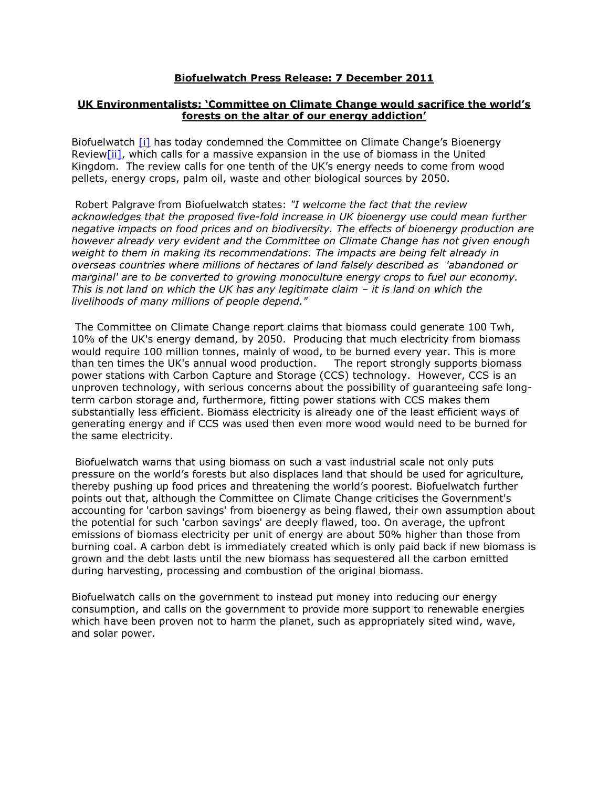## **Biofuelwatch Press Release: 7 December 2011**

## **UK Environmentalists: 'Committee on Climate Change would sacrifice the world's forests on the altar of our energy addiction'**

Biofuelwatch [\[i\]](http://36ohk6dgmcd1n-c.c.yom.mail.yahoo.net/om/api/1.0/openmail.app.invoke/36ohk6dgmcd1n/9/1.0.35/uk/en-GB/view.html#1341917265d8afb1__edn1) has today condemned the Committee on Climate Change's Bioenergy Revie[w\[ii\],](http://36ohk6dgmcd1n-c.c.yom.mail.yahoo.net/om/api/1.0/openmail.app.invoke/36ohk6dgmcd1n/9/1.0.35/uk/en-GB/view.html#1341917265d8afb1__edn2) which calls for a massive expansion in the use of biomass in the United Kingdom. The review calls for one tenth of the UK's energy needs to come from wood pellets, energy crops, palm oil, waste and other biological sources by 2050.

Robert Palgrave from Biofuelwatch states: *"I welcome the fact that the review acknowledges that the proposed five-fold increase in UK bioenergy use could mean further negative impacts on food prices and on biodiversity. The effects of bioenergy production are however already very evident and the Committee on Climate Change has not given enough weight to them in making its recommendations. The impacts are being felt already in overseas countries where millions of hectares of land falsely described as 'abandoned or marginal' are to be converted to growing monoculture energy crops to fuel our economy. This is not land on which the UK has any legitimate claim – it is land on which the livelihoods of many millions of people depend."*

The Committee on Climate Change report claims that biomass could generate 100 Twh, 10% of the UK's energy demand, by 2050. Producing that much electricity from biomass would require 100 million tonnes, mainly of wood, to be burned every year. This is more than ten times the UK's annual wood production. The report strongly supports biomass power stations with Carbon Capture and Storage (CCS) technology. However, CCS is an unproven technology, with serious concerns about the possibility of guaranteeing safe longterm carbon storage and, furthermore, fitting power stations with CCS makes them substantially less efficient. Biomass electricity is already one of the least efficient ways of generating energy and if CCS was used then even more wood would need to be burned for the same electricity.

Biofuelwatch warns that using biomass on such a vast industrial scale not only puts pressure on the world's forests but also displaces land that should be used for agriculture, thereby pushing up food prices and threatening the world's poorest. Biofuelwatch further points out that, although the Committee on Climate Change criticises the Government's accounting for 'carbon savings' from bioenergy as being flawed, their own assumption about the potential for such 'carbon savings' are deeply flawed, too. On average, the upfront emissions of biomass electricity per unit of energy are about 50% higher than those from burning coal. A carbon debt is immediately created which is only paid back if new biomass is grown and the debt lasts until the new biomass has sequestered all the carbon emitted during harvesting, processing and combustion of the original biomass.

Biofuelwatch calls on the government to instead put money into reducing our energy consumption, and calls on the government to provide more support to renewable energies which have been proven not to harm the planet, such as appropriately sited wind, wave, and solar power.